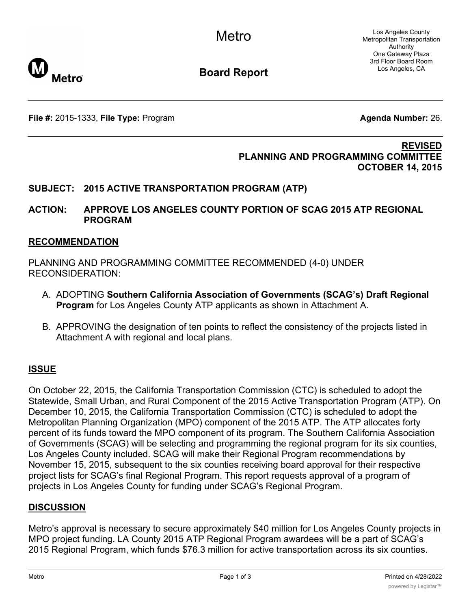Los Angeles County Metropolitan Transportation Authority One Gateway Plaza 3rd Floor Board Room Los Angeles, CA



**Board Report**

**File #:** 2015-1333, File Type: Program **Agents Agenda Number:** 26.

#### **REVISED PLANNING AND PROGRAMMING COMMITTEE OCTOBER 14, 2015**

## **SUBJECT: 2015 ACTIVE TRANSPORTATION PROGRAM (ATP)**

### **ACTION: APPROVE LOS ANGELES COUNTY PORTION OF SCAG 2015 ATP REGIONAL PROGRAM**

#### **RECOMMENDATION**

PLANNING AND PROGRAMMING COMMITTEE RECOMMENDED (4-0) UNDER RECONSIDERATION:

- A. ADOPTING **Southern California Association of Governments (SCAG's) Draft Regional Program** for Los Angeles County ATP applicants as shown in Attachment A.
- B. APPROVING the designation of ten points to reflect the consistency of the projects listed in Attachment A with regional and local plans.

### **ISSUE**

On October 22, 2015, the California Transportation Commission (CTC) is scheduled to adopt the Statewide, Small Urban, and Rural Component of the 2015 Active Transportation Program (ATP). On December 10, 2015, the California Transportation Commission (CTC) is scheduled to adopt the Metropolitan Planning Organization (MPO) component of the 2015 ATP. The ATP allocates forty percent of its funds toward the MPO component of its program. The Southern California Association of Governments (SCAG) will be selecting and programming the regional program for its six counties, Los Angeles County included. SCAG will make their Regional Program recommendations by November 15, 2015, subsequent to the six counties receiving board approval for their respective project lists for SCAG's final Regional Program. This report requests approval of a program of projects in Los Angeles County for funding under SCAG's Regional Program.

### **DISCUSSION**

Metro's approval is necessary to secure approximately \$40 million for Los Angeles County projects in MPO project funding. LA County 2015 ATP Regional Program awardees will be a part of SCAG's 2015 Regional Program, which funds \$76.3 million for active transportation across its six counties.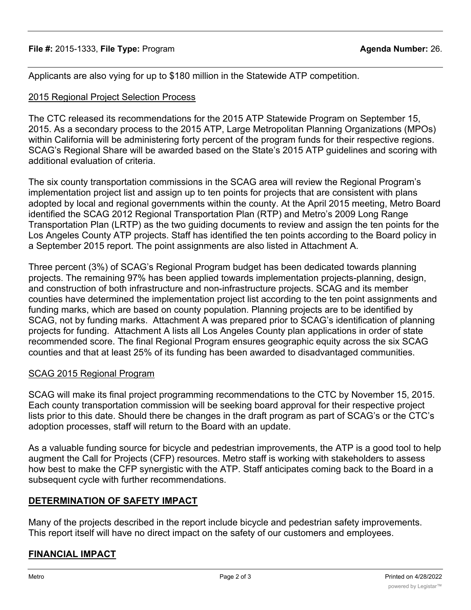Applicants are also vying for up to \$180 million in the Statewide ATP competition.

# 2015 Regional Project Selection Process

The CTC released its recommendations for the 2015 ATP Statewide Program on September 15, 2015. As a secondary process to the 2015 ATP, Large Metropolitan Planning Organizations (MPOs) within California will be administering forty percent of the program funds for their respective regions. SCAG's Regional Share will be awarded based on the State's 2015 ATP guidelines and scoring with additional evaluation of criteria.

The six county transportation commissions in the SCAG area will review the Regional Program's implementation project list and assign up to ten points for projects that are consistent with plans adopted by local and regional governments within the county. At the April 2015 meeting, Metro Board identified the SCAG 2012 Regional Transportation Plan (RTP) and Metro's 2009 Long Range Transportation Plan (LRTP) as the two guiding documents to review and assign the ten points for the Los Angeles County ATP projects. Staff has identified the ten points according to the Board policy in a September 2015 report. The point assignments are also listed in Attachment A.

Three percent (3%) of SCAG's Regional Program budget has been dedicated towards planning projects. The remaining 97% has been applied towards implementation projects-planning, design, and construction of both infrastructure and non-infrastructure projects. SCAG and its member counties have determined the implementation project list according to the ten point assignments and funding marks, which are based on county population. Planning projects are to be identified by SCAG, not by funding marks. Attachment A was prepared prior to SCAG's identification of planning projects for funding. Attachment A lists all Los Angeles County plan applications in order of state recommended score. The final Regional Program ensures geographic equity across the six SCAG counties and that at least 25% of its funding has been awarded to disadvantaged communities.

# SCAG 2015 Regional Program

SCAG will make its final project programming recommendations to the CTC by November 15, 2015. Each county transportation commission will be seeking board approval for their respective project lists prior to this date. Should there be changes in the draft program as part of SCAG's or the CTC's adoption processes, staff will return to the Board with an update.

As a valuable funding source for bicycle and pedestrian improvements, the ATP is a good tool to help augment the Call for Projects (CFP) resources. Metro staff is working with stakeholders to assess how best to make the CFP synergistic with the ATP. Staff anticipates coming back to the Board in a subsequent cycle with further recommendations.

# **DETERMINATION OF SAFETY IMPACT**

Many of the projects described in the report include bicycle and pedestrian safety improvements. This report itself will have no direct impact on the safety of our customers and employees.

# **FINANCIAL IMPACT**